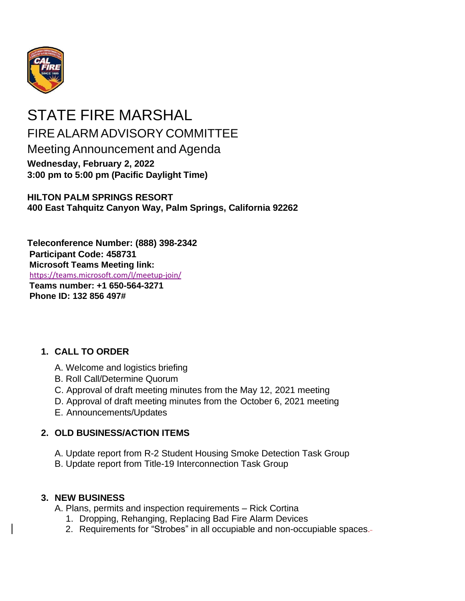

# STATE FIRE MARSHAL FIRE ALARM ADVISORY COMMITTEE Meeting Announcement and Agenda **Wednesday, February 2, 2022 3:00 pm to 5:00 pm (Pacific Daylight Time)**

**HILTON PALM SPRINGS RESORT 400 East Tahquitz Canyon Way, Palm Springs, California 92262**

**Teleconference Number: (888) 398-2342 Participant Code: 458731 Microsoft Teams Meeting link:** [https://teams.microsoft.com/l/meetup-join/](https://teams.microsoft.com/l/meetup-join/19%3ameeting_ODZlMTlhMzYtY2NjZS00ZGYwLTgyOTktZTk5OWRhMWM3YzU2%40thread.v2/0?context=%7b%22Tid%22%3a%22447a4ca0-5405-454d-ad68-c98a520261f8%22%2c%22Oid%22%3a%229895fb28-0b4b-4a7a-a737-75a212d6df6c%22%7d)  **Teams number: +1 650-564-3271 Phone ID: 132 856 497#**

### **1. CALL TO ORDER**

- A. Welcome and logistics briefing
- B. Roll Call/Determine Quorum
- C. Approval of draft meeting minutes from the May 12, 2021 meeting
- D. Approval of draft meeting minutes from the October 6, 2021 meeting
- E. Announcements/Updates

### **2. OLD BUSINESS/ACTION ITEMS**

- A. Update report from R-2 Student Housing Smoke Detection Task Group
- B. Update report from Title-19 Interconnection Task Group

### **3. NEW BUSINESS**

A. Plans, permits and inspection requirements – Rick Cortina

- 1. Dropping, Rehanging, Replacing Bad Fire Alarm Devices
- 2. Requirements for "Strobes" in all occupiable and non-occupiable spaces.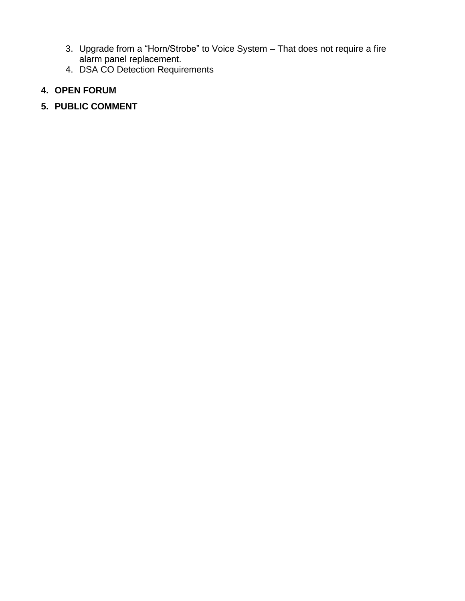- 3. Upgrade from a "Horn/Strobe" to Voice System That does not require a fire alarm panel replacement.
- 4. DSA CO Detection Requirements

## **4. OPEN FORUM**

**5. PUBLIC COMMENT**